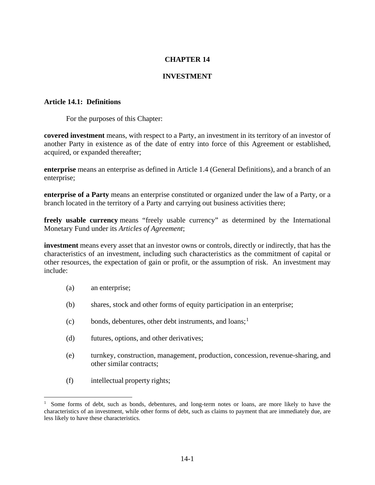## **CHAPTER 14**

### **INVESTMENT**

#### **Article 14.1: Definitions**

For the purposes of this Chapter:

**covered investment** means, with respect to a Party, an investment in its territory of an investor of another Party in existence as of the date of entry into force of this Agreement or established, acquired, or expanded thereafter;

**enterprise** means an enterprise as defined in Article 1.4 (General Definitions), and a branch of an enterprise;

**enterprise of a Party** means an enterprise constituted or organized under the law of a Party, or a branch located in the territory of a Party and carrying out business activities there;

**freely usable currency** means "freely usable currency" as determined by the International Monetary Fund under its *Articles of Agreement*;

**investment** means every asset that an investor owns or controls, directly or indirectly, that has the characteristics of an investment, including such characteristics as the commitment of capital or other resources, the expectation of gain or profit, or the assumption of risk. An investment may include:

(a) an enterprise;

l

- (b) shares, stock and other forms of equity participation in an enterprise;
- (c) bonds, debentures, other debt instruments, and loans; [1](#page-0-0)
- (d) futures, options, and other derivatives;
- (e) turnkey, construction, management, production, concession, revenue-sharing, and other similar contracts;
- (f) intellectual property rights;

<span id="page-0-0"></span> $1$  Some forms of debt, such as bonds, debentures, and long-term notes or loans, are more likely to have the characteristics of an investment, while other forms of debt, such as claims to payment that are immediately due, are less likely to have these characteristics.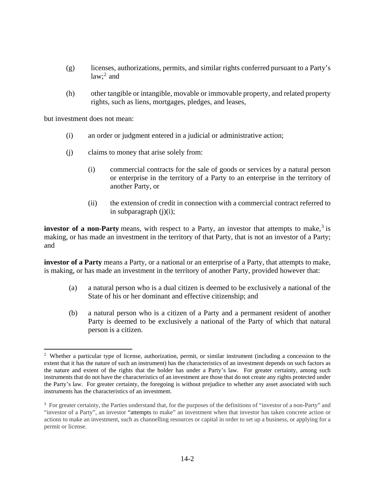- (g) licenses, authorizations, permits, and similar rights conferred pursuant to a Party's law; [2](#page-1-0) and
- (h) other tangible or intangible, movable or immovable property, and related property rights, such as liens, mortgages, pledges, and leases,

but investment does not mean:

 $\overline{\phantom{a}}$ 

- (i) an order or judgment entered in a judicial or administrative action;
- (j) claims to money that arise solely from:
	- (i) commercial contracts for the sale of goods or services by a natural person or enterprise in the territory of a Party to an enterprise in the territory of another Party, or
	- (ii) the extension of credit in connection with a commercial contract referred to in subparagraph  $(j)(i)$ ;

**investor of a non-Party** means, with respect to a Party, an investor that attempts to make,<sup>[3](#page-1-1)</sup> is making, or has made an investment in the territory of that Party, that is not an investor of a Party; and

**investor of a Party** means a Party, or a national or an enterprise of a Party, that attempts to make, is making, or has made an investment in the territory of another Party, provided however that:

- (a) a natural person who is a dual citizen is deemed to be exclusively a national of the State of his or her dominant and effective citizenship; and
- (b) a natural person who is a citizen of a Party and a permanent resident of another Party is deemed to be exclusively a national of the Party of which that natural person is a citizen.

<span id="page-1-0"></span><sup>&</sup>lt;sup>2</sup> Whether a particular type of license, authorization, permit, or similar instrument (including a concession to the extent that it has the nature of such an instrument) has the characteristics of an investment depends on such factors as the nature and extent of the rights that the holder has under a Party's law. For greater certainty, among such instruments that do not have the characteristics of an investment are those that do not create any rights protected under the Party's law. For greater certainty, the foregoing is without prejudice to whether any asset associated with such instruments has the characteristics of an investment.

<span id="page-1-1"></span><sup>&</sup>lt;sup>3</sup> For greater certainty, the Parties understand that, for the purposes of the definitions of "investor of a non-Party" and "investor of a Party", an investor "attempts to make" an investment when that investor has taken concrete action or actions to make an investment, such as channelling resources or capital in order to set up a business, or applying for a permit or license.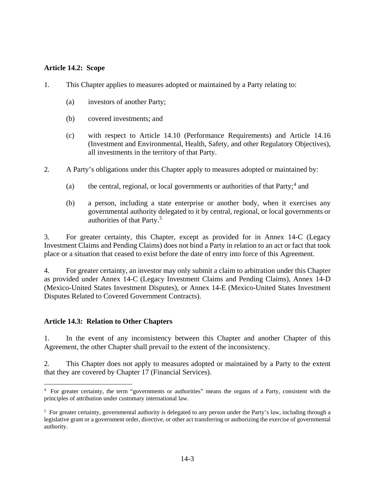### **Article 14.2: Scope**

- 1. This Chapter applies to measures adopted or maintained by a Party relating to:
	- (a) investors of another Party;
	- (b) covered investments; and
	- (c) with respect to Article 14.10 (Performance Requirements) and Article 14.16 (Investment and Environmental, Health, Safety, and other Regulatory Objectives), all investments in the territory of that Party.
- 2. A Party's obligations under this Chapter apply to measures adopted or maintained by:
	- (a) the central, regional, or local governments or authorities of that Party; [4](#page-2-0) and
	- (b) a person, including a state enterprise or another body, when it exercises any governmental authority delegated to it by central, regional, or local governments or authorities of that Party. [5](#page-2-1)

3. For greater certainty, this Chapter, except as provided for in Annex 14-C (Legacy Investment Claims and Pending Claims) does not bind a Party in relation to an act or fact that took place or a situation that ceased to exist before the date of entry into force of this Agreement.

4. For greater certainty, an investor may only submit a claim to arbitration under this Chapter as provided under Annex 14-C (Legacy Investment Claims and Pending Claims), Annex 14-D (Mexico-United States Investment Disputes), or Annex 14-E (Mexico-United States Investment Disputes Related to Covered Government Contracts).

#### **Article 14.3: Relation to Other Chapters**

 $\overline{a}$ 

1. In the event of any inconsistency between this Chapter and another Chapter of this Agreement, the other Chapter shall prevail to the extent of the inconsistency.

2. This Chapter does not apply to measures adopted or maintained by a Party to the extent that they are covered by Chapter 17 (Financial Services).

<span id="page-2-0"></span><sup>&</sup>lt;sup>4</sup> For greater certainty, the term "governments or authorities" means the organs of a Party, consistent with the principles of attribution under customary international law.

<span id="page-2-1"></span><sup>&</sup>lt;sup>5</sup> For greater certainty, governmental authority is delegated to any person under the Party's law, including through a legislative grant or a government order, directive, or other act transferring or authorizing the exercise of governmental authority.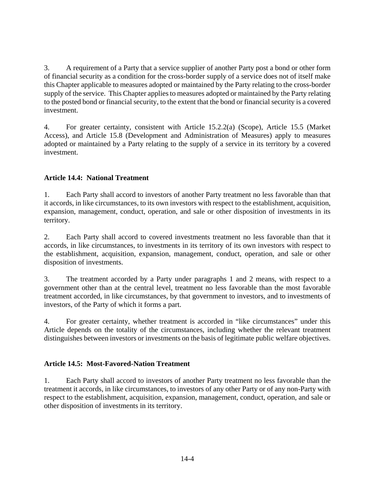3. A requirement of a Party that a service supplier of another Party post a bond or other form of financial security as a condition for the cross-border supply of a service does not of itself make this Chapter applicable to measures adopted or maintained by the Party relating to the cross-border supply of the service. This Chapter applies to measures adopted or maintained by the Party relating to the posted bond or financial security, to the extent that the bond or financial security is a covered investment.

4. For greater certainty, consistent with Article 15.2.2(a) (Scope), Article 15.5 (Market Access), and Article 15.8 (Development and Administration of Measures) apply to measures adopted or maintained by a Party relating to the supply of a service in its territory by a covered investment.

# **Article 14.4: National Treatment**

1. Each Party shall accord to investors of another Party treatment no less favorable than that it accords, in like circumstances, to its own investors with respect to the establishment, acquisition, expansion, management, conduct, operation, and sale or other disposition of investments in its territory.

2. Each Party shall accord to covered investments treatment no less favorable than that it accords, in like circumstances, to investments in its territory of its own investors with respect to the establishment, acquisition, expansion, management, conduct, operation, and sale or other disposition of investments.

3. The treatment accorded by a Party under paragraphs 1 and 2 means, with respect to a government other than at the central level, treatment no less favorable than the most favorable treatment accorded, in like circumstances, by that government to investors, and to investments of investors, of the Party of which it forms a part.

4. For greater certainty, whether treatment is accorded in "like circumstances" under this Article depends on the totality of the circumstances, including whether the relevant treatment distinguishes between investors or investments on the basis of legitimate public welfare objectives.

# **Article 14.5: Most-Favored-Nation Treatment**

1. Each Party shall accord to investors of another Party treatment no less favorable than the treatment it accords, in like circumstances, to investors of any other Party or of any non-Party with respect to the establishment, acquisition, expansion, management, conduct, operation, and sale or other disposition of investments in its territory.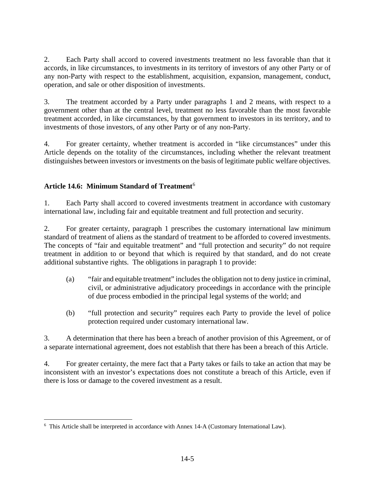2. Each Party shall accord to covered investments treatment no less favorable than that it accords, in like circumstances, to investments in its territory of investors of any other Party or of any non-Party with respect to the establishment, acquisition, expansion, management, conduct, operation, and sale or other disposition of investments.

3. The treatment accorded by a Party under paragraphs 1 and 2 means, with respect to a government other than at the central level, treatment no less favorable than the most favorable treatment accorded, in like circumstances, by that government to investors in its territory, and to investments of those investors, of any other Party or of any non-Party.

4. For greater certainty, whether treatment is accorded in "like circumstances" under this Article depends on the totality of the circumstances, including whether the relevant treatment distinguishes between investors or investments on the basis of legitimate public welfare objectives.

# **Article 14.6: Minimum Standard of Treatment**[6](#page-4-0)

1. Each Party shall accord to covered investments treatment in accordance with customary international law, including fair and equitable treatment and full protection and security.

2. For greater certainty, paragraph 1 prescribes the customary international law minimum standard of treatment of aliens as the standard of treatment to be afforded to covered investments. The concepts of "fair and equitable treatment" and "full protection and security" do not require treatment in addition to or beyond that which is required by that standard, and do not create additional substantive rights. The obligations in paragraph 1 to provide:

- (a) "fair and equitable treatment" includes the obligation not to deny justice in criminal, civil, or administrative adjudicatory proceedings in accordance with the principle of due process embodied in the principal legal systems of the world; and
- (b) "full protection and security" requires each Party to provide the level of police protection required under customary international law.

3. A determination that there has been a breach of another provision of this Agreement, or of a separate international agreement, does not establish that there has been a breach of this Article.

4. For greater certainty, the mere fact that a Party takes or fails to take an action that may be inconsistent with an investor's expectations does not constitute a breach of this Article, even if there is loss or damage to the covered investment as a result.

l

<span id="page-4-0"></span><sup>&</sup>lt;sup>6</sup> This Article shall be interpreted in accordance with Annex 14-A (Customary International Law).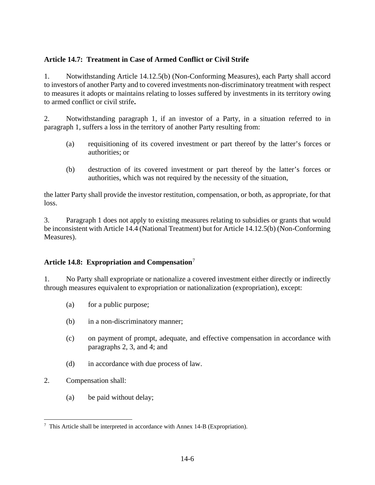# **Article 14.7: Treatment in Case of Armed Conflict or Civil Strife**

1. Notwithstanding Article 14.12.5(b) (Non-Conforming Measures), each Party shall accord to investors of another Party and to covered investments non-discriminatory treatment with respect to measures it adopts or maintains relating to losses suffered by investments in its territory owing to armed conflict or civil strife**.**

2. Notwithstanding paragraph 1, if an investor of a Party, in a situation referred to in paragraph 1, suffers a loss in the territory of another Party resulting from:

- (a) requisitioning of its covered investment or part thereof by the latter's forces or authorities; or
- (b) destruction of its covered investment or part thereof by the latter's forces or authorities, which was not required by the necessity of the situation,

the latter Party shall provide the investor restitution, compensation, or both, as appropriate, for that loss.

3. Paragraph 1 does not apply to existing measures relating to subsidies or grants that would be inconsistent with Article 14.4 (National Treatment) but for Article 14.12.5(b) (Non-Conforming Measures).

# **Article 14.8: Expropriation and Compensation**[7](#page-5-0)

1. No Party shall expropriate or nationalize a covered investment either directly or indirectly through measures equivalent to expropriation or nationalization (expropriation), except:

- (a) for a public purpose;
- (b) in a non-discriminatory manner;
- (c) on payment of prompt, adequate, and effective compensation in accordance with paragraphs 2, 3, and 4; and
- (d) in accordance with due process of law.
- 2. Compensation shall:
	- (a) be paid without delay;

<span id="page-5-0"></span>l <sup>7</sup> This Article shall be interpreted in accordance with Annex 14-B (Expropriation).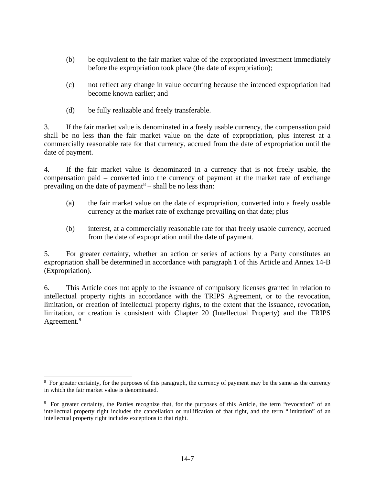- (b) be equivalent to the fair market value of the expropriated investment immediately before the expropriation took place (the date of expropriation);
- (c) not reflect any change in value occurring because the intended expropriation had become known earlier; and
- (d) be fully realizable and freely transferable.

3. If the fair market value is denominated in a freely usable currency, the compensation paid shall be no less than the fair market value on the date of expropriation, plus interest at a commercially reasonable rate for that currency, accrued from the date of expropriation until the date of payment.

4. If the fair market value is denominated in a currency that is not freely usable, the compensation paid – converted into the currency of payment at the market rate of exchange prevailing on the date of payment $8 8 -$ shall be no less than:

- (a) the fair market value on the date of expropriation, converted into a freely usable currency at the market rate of exchange prevailing on that date; plus
- (b) interest, at a commercially reasonable rate for that freely usable currency, accrued from the date of expropriation until the date of payment.

5. For greater certainty, whether an action or series of actions by a Party constitutes an expropriation shall be determined in accordance with paragraph 1 of this Article and Annex 14-B (Expropriation).

6. This Article does not apply to the issuance of compulsory licenses granted in relation to intellectual property rights in accordance with the TRIPS Agreement, or to the revocation, limitation, or creation of intellectual property rights, to the extent that the issuance, revocation, limitation, or creation is consistent with Chapter 20 (Intellectual Property) and the TRIPS Agreement.<sup>[9](#page-6-1)</sup>

<span id="page-6-0"></span>l <sup>8</sup> For greater certainty, for the purposes of this paragraph, the currency of payment may be the same as the currency in which the fair market value is denominated.

<span id="page-6-1"></span><sup>9</sup> For greater certainty, the Parties recognize that, for the purposes of this Article, the term "revocation" of an intellectual property right includes the cancellation or nullification of that right, and the term "limitation" of an intellectual property right includes exceptions to that right.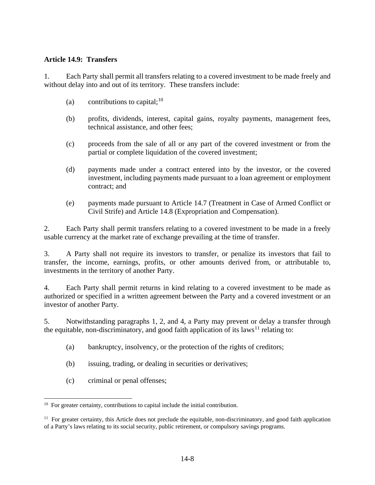## **Article 14.9: Transfers**

1. Each Party shall permit all transfers relating to a covered investment to be made freely and without delay into and out of its territory. These transfers include:

- (a) contributions to capital;  $10^{10}$  $10^{10}$
- (b) profits, dividends, interest, capital gains, royalty payments, management fees, technical assistance, and other fees;
- (c) proceeds from the sale of all or any part of the covered investment or from the partial or complete liquidation of the covered investment;
- (d) payments made under a contract entered into by the investor, or the covered investment, including payments made pursuant to a loan agreement or employment contract; and
- (e) payments made pursuant to Article 14.7 (Treatment in Case of Armed Conflict or Civil Strife) and Article 14.8 (Expropriation and Compensation).

2. Each Party shall permit transfers relating to a covered investment to be made in a freely usable currency at the market rate of exchange prevailing at the time of transfer.

3. A Party shall not require its investors to transfer, or penalize its investors that fail to transfer, the income, earnings, profits, or other amounts derived from, or attributable to, investments in the territory of another Party.

4. Each Party shall permit returns in kind relating to a covered investment to be made as authorized or specified in a written agreement between the Party and a covered investment or an investor of another Party.

5. Notwithstanding paragraphs 1, 2, and 4, a Party may prevent or delay a transfer through the equitable, non-discriminatory, and good faith application of its laws<sup>[11](#page-7-1)</sup> relating to:

- (a) bankruptcy, insolvency, or the protection of the rights of creditors;
- (b) issuing, trading, or dealing in securities or derivatives;
- (c) criminal or penal offenses;

l

<span id="page-7-0"></span><sup>&</sup>lt;sup>10</sup> For greater certainty, contributions to capital include the initial contribution.

<span id="page-7-1"></span> $11$  For greater certainty, this Article does not preclude the equitable, non-discriminatory, and good faith application of a Party's laws relating to its social security, public retirement, or compulsory savings programs.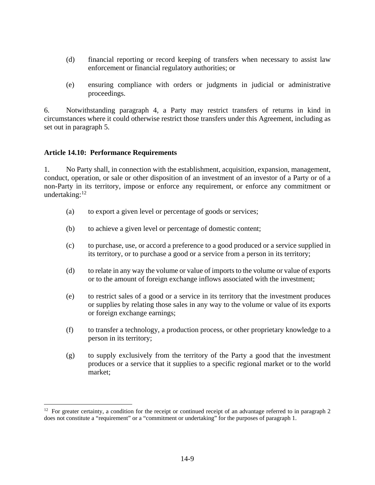- (d) financial reporting or record keeping of transfers when necessary to assist law enforcement or financial regulatory authorities; or
- (e) ensuring compliance with orders or judgments in judicial or administrative proceedings.

6. Notwithstanding paragraph 4, a Party may restrict transfers of returns in kind in circumstances where it could otherwise restrict those transfers under this Agreement, including as set out in paragraph 5.

### **Article 14.10: Performance Requirements**

 $\overline{a}$ 

1. No Party shall, in connection with the establishment, acquisition, expansion, management, conduct, operation, or sale or other disposition of an investment of an investor of a Party or of a non-Party in its territory, impose or enforce any requirement, or enforce any commitment or undertaking: $12$ 

- (a) to export a given level or percentage of goods or services;
- (b) to achieve a given level or percentage of domestic content;
- (c) to purchase, use, or accord a preference to a good produced or a service supplied in its territory, or to purchase a good or a service from a person in its territory;
- (d) to relate in any way the volume or value of imports to the volume or value of exports or to the amount of foreign exchange inflows associated with the investment;
- (e) to restrict sales of a good or a service in its territory that the investment produces or supplies by relating those sales in any way to the volume or value of its exports or foreign exchange earnings;
- (f) to transfer a technology, a production process, or other proprietary knowledge to a person in its territory;
- (g) to supply exclusively from the territory of the Party a good that the investment produces or a service that it supplies to a specific regional market or to the world market;

<span id="page-8-0"></span> $12$  For greater certainty, a condition for the receipt or continued receipt of an advantage referred to in paragraph 2 does not constitute a "requirement" or a "commitment or undertaking" for the purposes of paragraph 1.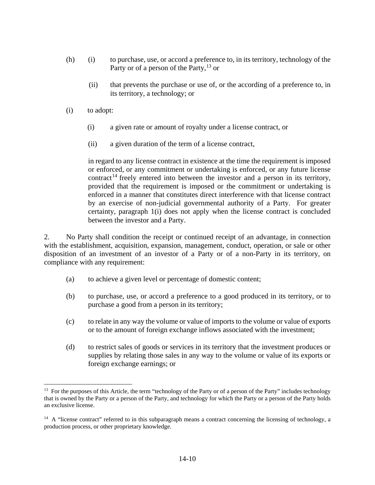- (h) (i) to purchase, use, or accord a preference to, in its territory, technology of the Party or of a person of the Party,<sup>[13](#page-9-0)</sup> or
	- (ii) that prevents the purchase or use of, or the according of a preference to, in its territory, a technology; or
- (i) to adopt:

 $\overline{a}$ 

- (i) a given rate or amount of royalty under a license contract, or
- (ii) a given duration of the term of a license contract,

in regard to any license contract in existence at the time the requirement is imposed or enforced, or any commitment or undertaking is enforced, or any future license  $control<sup>14</sup>$  $control<sup>14</sup>$  $control<sup>14</sup>$  freely entered into between the investor and a person in its territory, provided that the requirement is imposed or the commitment or undertaking is enforced in a manner that constitutes direct interference with that license contract by an exercise of non-judicial governmental authority of a Party. For greater certainty, paragraph 1(i) does not apply when the license contract is concluded between the investor and a Party.

2. No Party shall condition the receipt or continued receipt of an advantage, in connection with the establishment, acquisition, expansion, management, conduct, operation, or sale or other disposition of an investment of an investor of a Party or of a non-Party in its territory, on compliance with any requirement:

- (a) to achieve a given level or percentage of domestic content;
- (b) to purchase, use, or accord a preference to a good produced in its territory, or to purchase a good from a person in its territory;
- (c) to relate in any way the volume or value of imports to the volume or value of exports or to the amount of foreign exchange inflows associated with the investment;
- (d) to restrict sales of goods or services in its territory that the investment produces or supplies by relating those sales in any way to the volume or value of its exports or foreign exchange earnings; or

<span id="page-9-0"></span><sup>&</sup>lt;sup>13</sup> For the purposes of this Article, the term "technology of the Party or of a person of the Party" includes technology that is owned by the Party or a person of the Party, and technology for which the Party or a person of the Party holds an exclusive license.

<span id="page-9-1"></span><sup>&</sup>lt;sup>14</sup> A "license contract" referred to in this subparagraph means a contract concerning the licensing of technology, a production process, or other proprietary knowledge.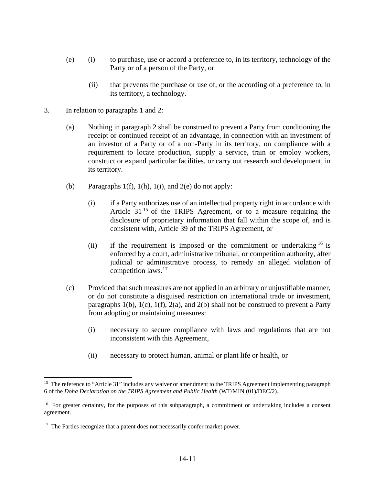- (e) (i) to purchase, use or accord a preference to, in its territory, technology of the Party or of a person of the Party, or
	- (ii) that prevents the purchase or use of, or the according of a preference to, in its territory, a technology.
- 3. In relation to paragraphs 1 and 2:
	- (a) Nothing in paragraph 2 shall be construed to prevent a Party from conditioning the receipt or continued receipt of an advantage, in connection with an investment of an investor of a Party or of a non-Party in its territory, on compliance with a requirement to locate production, supply a service, train or employ workers, construct or expand particular facilities, or carry out research and development, in its territory.
	- (b) Paragraphs  $1(f)$ ,  $1(h)$ ,  $1(i)$ , and  $2(e)$  do not apply:
		- (i) if a Party authorizes use of an intellectual property right in accordance with Article 31<sup>[15](#page-10-0)</sup> of the TRIPS Agreement, or to a measure requiring the disclosure of proprietary information that fall within the scope of, and is consistent with, Article 39 of the TRIPS Agreement, or
		- (ii) if the requirement is imposed or the commitment or undertaking  $16$  is enforced by a court, administrative tribunal, or competition authority, after judicial or administrative process, to remedy an alleged violation of competition laws. [17](#page-10-2)
	- (c) Provided that such measures are not applied in an arbitrary or unjustifiable manner, or do not constitute a disguised restriction on international trade or investment, paragraphs 1(b), 1(c), 1(f), 2(a), and 2(b) shall not be construed to prevent a Party from adopting or maintaining measures:
		- (i) necessary to secure compliance with laws and regulations that are not inconsistent with this Agreement,
		- (ii) necessary to protect human, animal or plant life or health, or

l

<span id="page-10-0"></span><sup>&</sup>lt;sup>15</sup> The reference to "Article 31" includes any waiver or amendment to the TRIPS Agreement implementing paragraph 6 of the *Doha Declaration on the TRIPS Agreement and Public Health* (WT/MIN (01)/DEC/2).

<span id="page-10-1"></span><sup>&</sup>lt;sup>16</sup> For greater certainty, for the purposes of this subparagraph, a commitment or undertaking includes a consent agreement.

<span id="page-10-2"></span><sup>&</sup>lt;sup>17</sup> The Parties recognize that a patent does not necessarily confer market power.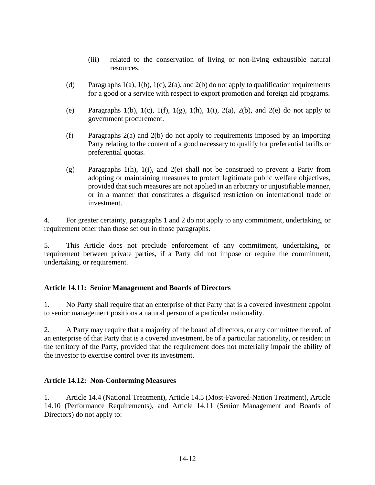- (iii) related to the conservation of living or non-living exhaustible natural resources.
- (d) Paragraphs  $1(a)$ ,  $1(b)$ ,  $1(c)$ ,  $2(a)$ , and  $2(b)$  do not apply to qualification requirements for a good or a service with respect to export promotion and foreign aid programs.
- (e) Paragraphs 1(b), 1(c), 1(f), 1(g), 1(h), 1(i), 2(a), 2(b), and 2(e) do not apply to government procurement.
- (f) Paragraphs 2(a) and 2(b) do not apply to requirements imposed by an importing Party relating to the content of a good necessary to qualify for preferential tariffs or preferential quotas.
- (g) Paragraphs 1(h), 1(i), and 2(e) shall not be construed to prevent a Party from adopting or maintaining measures to protect legitimate public welfare objectives, provided that such measures are not applied in an arbitrary or unjustifiable manner, or in a manner that constitutes a disguised restriction on international trade or investment.

4. For greater certainty, paragraphs 1 and 2 do not apply to any commitment, undertaking, or requirement other than those set out in those paragraphs.

5. This Article does not preclude enforcement of any commitment, undertaking, or requirement between private parties, if a Party did not impose or require the commitment, undertaking, or requirement.

## **Article 14.11: Senior Management and Boards of Directors**

1. No Party shall require that an enterprise of that Party that is a covered investment appoint to senior management positions a natural person of a particular nationality.

2. A Party may require that a majority of the board of directors, or any committee thereof, of an enterprise of that Party that is a covered investment, be of a particular nationality, or resident in the territory of the Party, provided that the requirement does not materially impair the ability of the investor to exercise control over its investment.

# **Article 14.12: Non-Conforming Measures**

1. Article 14.4 (National Treatment), Article 14.5 (Most-Favored-Nation Treatment), Article 14.10 (Performance Requirements), and Article 14.11 (Senior Management and Boards of Directors) do not apply to: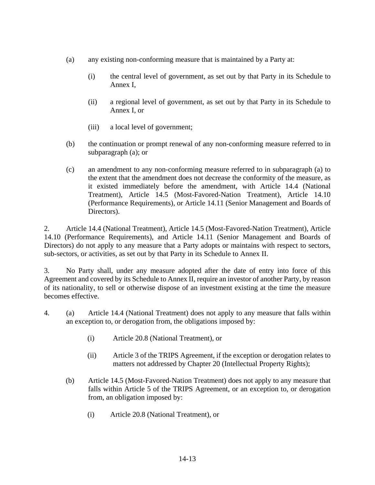- (a) any existing non-conforming measure that is maintained by a Party at:
	- (i) the central level of government, as set out by that Party in its Schedule to Annex I,
	- (ii) a regional level of government, as set out by that Party in its Schedule to Annex I, or
	- (iii) a local level of government;
- (b) the continuation or prompt renewal of any non-conforming measure referred to in subparagraph (a); or
- (c) an amendment to any non-conforming measure referred to in subparagraph (a) to the extent that the amendment does not decrease the conformity of the measure, as it existed immediately before the amendment, with Article 14.4 (National Treatment), Article 14.5 (Most-Favored-Nation Treatment), Article 14.10 (Performance Requirements), or Article 14.11 (Senior Management and Boards of Directors).

2. Article 14.4 (National Treatment), Article 14.5 (Most-Favored-Nation Treatment), Article 14.10 (Performance Requirements), and Article 14.11 (Senior Management and Boards of Directors) do not apply to any measure that a Party adopts or maintains with respect to sectors, sub-sectors, or activities, as set out by that Party in its Schedule to Annex II.

3. No Party shall, under any measure adopted after the date of entry into force of this Agreement and covered by its Schedule to Annex II, require an investor of another Party, by reason of its nationality, to sell or otherwise dispose of an investment existing at the time the measure becomes effective.

- 4. (a) Article 14.4 (National Treatment) does not apply to any measure that falls within an exception to, or derogation from, the obligations imposed by:
	- (i) Article 20.8 (National Treatment), or
	- (ii) Article 3 of the TRIPS Agreement, if the exception or derogation relates to matters not addressed by Chapter 20 (Intellectual Property Rights);
	- (b) Article 14.5 (Most-Favored-Nation Treatment) does not apply to any measure that falls within Article 5 of the TRIPS Agreement, or an exception to, or derogation from, an obligation imposed by:
		- (i) Article 20.8 (National Treatment), or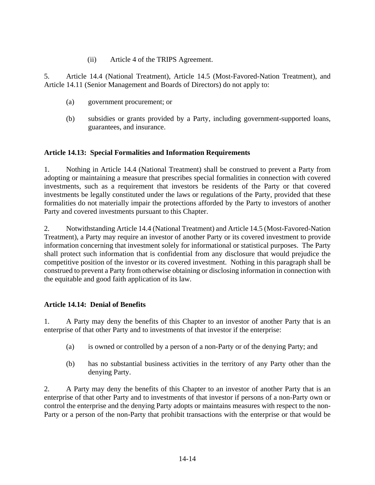(ii) Article 4 of the TRIPS Agreement.

5. Article 14.4 (National Treatment), Article 14.5 (Most-Favored-Nation Treatment), and Article 14.11 (Senior Management and Boards of Directors) do not apply to:

- (a) government procurement; or
- (b) subsidies or grants provided by a Party, including government-supported loans, guarantees, and insurance.

## **Article 14.13: Special Formalities and Information Requirements**

1. Nothing in Article 14.4 (National Treatment) shall be construed to prevent a Party from adopting or maintaining a measure that prescribes special formalities in connection with covered investments, such as a requirement that investors be residents of the Party or that covered investments be legally constituted under the laws or regulations of the Party, provided that these formalities do not materially impair the protections afforded by the Party to investors of another Party and covered investments pursuant to this Chapter.

2. Notwithstanding Article 14.4 (National Treatment) and Article 14.5 (Most-Favored-Nation Treatment), a Party may require an investor of another Party or its covered investment to provide information concerning that investment solely for informational or statistical purposes. The Party shall protect such information that is confidential from any disclosure that would prejudice the competitive position of the investor or its covered investment. Nothing in this paragraph shall be construed to prevent a Party from otherwise obtaining or disclosing information in connection with the equitable and good faith application of its law.

#### **Article 14.14: Denial of Benefits**

1. A Party may deny the benefits of this Chapter to an investor of another Party that is an enterprise of that other Party and to investments of that investor if the enterprise:

- (a) is owned or controlled by a person of a non-Party or of the denying Party; and
- (b) has no substantial business activities in the territory of any Party other than the denying Party.

2. A Party may deny the benefits of this Chapter to an investor of another Party that is an enterprise of that other Party and to investments of that investor if persons of a non-Party own or control the enterprise and the denying Party adopts or maintains measures with respect to the non-Party or a person of the non-Party that prohibit transactions with the enterprise or that would be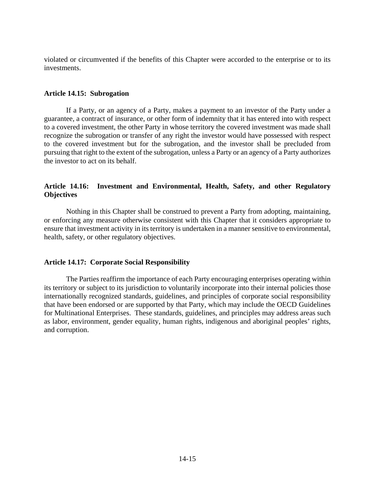violated or circumvented if the benefits of this Chapter were accorded to the enterprise or to its investments.

#### **Article 14.15: Subrogation**

If a Party, or an agency of a Party, makes a payment to an investor of the Party under a guarantee, a contract of insurance, or other form of indemnity that it has entered into with respect to a covered investment, the other Party in whose territory the covered investment was made shall recognize the subrogation or transfer of any right the investor would have possessed with respect to the covered investment but for the subrogation, and the investor shall be precluded from pursuing that right to the extent of the subrogation, unless a Party or an agency of a Party authorizes the investor to act on its behalf.

### **Article 14.16: Investment and Environmental, Health, Safety, and other Regulatory Objectives**

Nothing in this Chapter shall be construed to prevent a Party from adopting, maintaining, or enforcing any measure otherwise consistent with this Chapter that it considers appropriate to ensure that investment activity in its territory is undertaken in a manner sensitive to environmental, health, safety, or other regulatory objectives.

#### **Article 14.17: Corporate Social Responsibility**

The Parties reaffirm the importance of each Party encouraging enterprises operating within its territory or subject to its jurisdiction to voluntarily incorporate into their internal policies those internationally recognized standards, guidelines, and principles of corporate social responsibility that have been endorsed or are supported by that Party, which may include the OECD Guidelines for Multinational Enterprises. These standards, guidelines, and principles may address areas such as labor, environment, gender equality, human rights, indigenous and aboriginal peoples' rights, and corruption.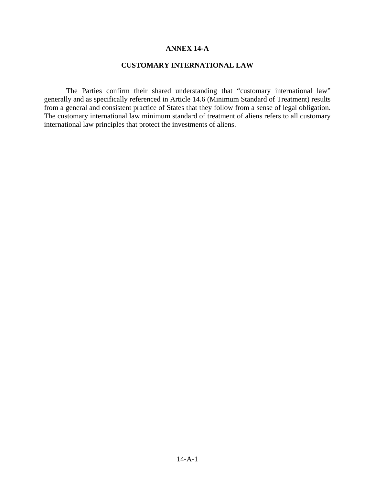## **ANNEX 14-A**

#### **CUSTOMARY INTERNATIONAL LAW**

The Parties confirm their shared understanding that "customary international law" generally and as specifically referenced in Article 14.6 (Minimum Standard of Treatment) results from a general and consistent practice of States that they follow from a sense of legal obligation. The customary international law minimum standard of treatment of aliens refers to all customary international law principles that protect the investments of aliens.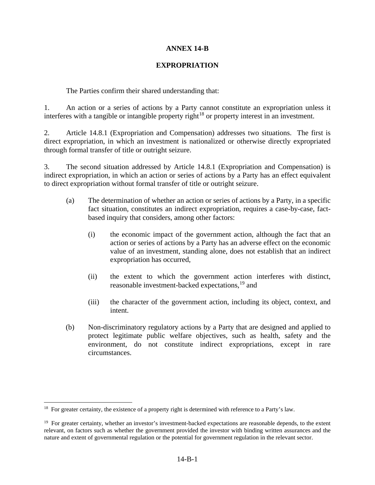# **ANNEX 14-B**

## **EXPROPRIATION**

# The Parties confirm their shared understanding that:

1. An action or a series of actions by a Party cannot constitute an expropriation unless it interferes with a tangible or intangible property right<sup>[18](#page-16-0)</sup> or property interest in an investment.

2. Article 14.8.1 (Expropriation and Compensation) addresses two situations. The first is direct expropriation, in which an investment is nationalized or otherwise directly expropriated through formal transfer of title or outright seizure.

3. The second situation addressed by Article 14.8.1 (Expropriation and Compensation) is indirect expropriation, in which an action or series of actions by a Party has an effect equivalent to direct expropriation without formal transfer of title or outright seizure.

- (a) The determination of whether an action or series of actions by a Party, in a specific fact situation, constitutes an indirect expropriation, requires a case-by-case, factbased inquiry that considers, among other factors:
	- (i) the economic impact of the government action, although the fact that an action or series of actions by a Party has an adverse effect on the economic value of an investment, standing alone, does not establish that an indirect expropriation has occurred,
	- (ii) the extent to which the government action interferes with distinct, reasonable investment-backed expectations, <sup>[19](#page-16-1)</sup> and
	- (iii) the character of the government action, including its object, context, and intent.
- (b) Non-discriminatory regulatory actions by a Party that are designed and applied to protect legitimate public welfare objectives, such as health, safety and the environment, do not constitute indirect expropriations, except in rare circumstances.

 $\overline{\phantom{a}}$ 

<span id="page-16-0"></span><sup>&</sup>lt;sup>18</sup> For greater certainty, the existence of a property right is determined with reference to a Party's law.

<span id="page-16-1"></span> $19$  For greater certainty, whether an investor's investment-backed expectations are reasonable depends, to the extent relevant, on factors such as whether the government provided the investor with binding written assurances and the nature and extent of governmental regulation or the potential for government regulation in the relevant sector.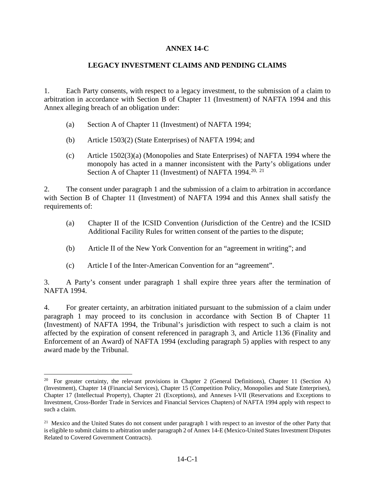## **ANNEX 14-C**

### **LEGACY INVESTMENT CLAIMS AND PENDING CLAIMS**

1. Each Party consents, with respect to a legacy investment, to the submission of a claim to arbitration in accordance with Section B of Chapter 11 (Investment) of NAFTA 1994 and this Annex alleging breach of an obligation under:

- (a) Section A of Chapter 11 (Investment) of NAFTA 1994;
- (b) Article 1503(2) (State Enterprises) of NAFTA 1994; and
- (c) Article 1502(3)(a) (Monopolies and State Enterprises) of NAFTA 1994 where the monopoly has acted in a manner inconsistent with the Party's obligations under Section A of Chapter 11 (Investment) of NAFTA 1994.<sup>[20](#page-17-0), [21](#page-17-1)</sup>

2. The consent under paragraph 1 and the submission of a claim to arbitration in accordance with Section B of Chapter 11 (Investment) of NAFTA 1994 and this Annex shall satisfy the requirements of:

- (a) Chapter II of the ICSID Convention (Jurisdiction of the Centre) and the ICSID Additional Facility Rules for written consent of the parties to the dispute;
- (b) Article II of the New York Convention for an "agreement in writing"; and
- (c) Article I of the Inter-American Convention for an "agreement".

3. A Party's consent under paragraph 1 shall expire three years after the termination of NAFTA 1994.

4. For greater certainty, an arbitration initiated pursuant to the submission of a claim under paragraph 1 may proceed to its conclusion in accordance with Section B of Chapter 11 (Investment) of NAFTA 1994, the Tribunal's jurisdiction with respect to such a claim is not affected by the expiration of consent referenced in paragraph 3, and Article 1136 (Finality and Enforcement of an Award) of NAFTA 1994 (excluding paragraph 5) applies with respect to any award made by the Tribunal.

 $\overline{a}$ 

<span id="page-17-0"></span><sup>&</sup>lt;sup>20</sup> For greater certainty, the relevant provisions in Chapter 2 (General Definitions), Chapter 11 (Section A) (Investment), Chapter 14 (Financial Services), Chapter 15 (Competition Policy, Monopolies and State Enterprises), Chapter 17 (Intellectual Property), Chapter 21 (Exceptions), and Annexes I-VII (Reservations and Exceptions to Investment, Cross-Border Trade in Services and Financial Services Chapters) of NAFTA 1994 apply with respect to such a claim.

<span id="page-17-1"></span><sup>&</sup>lt;sup>21</sup> Mexico and the United States do not consent under paragraph 1 with respect to an investor of the other Party that is eligible to submit claims to arbitration under paragraph 2 of Annex 14-E (Mexico-United States Investment Disputes Related to Covered Government Contracts).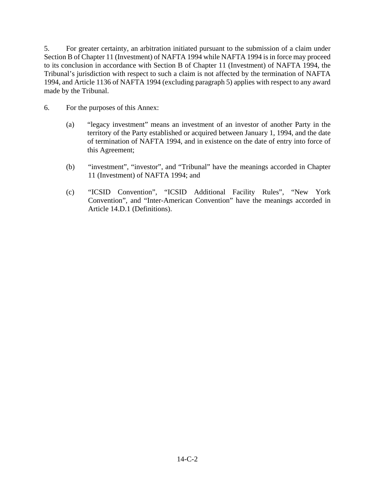5. For greater certainty, an arbitration initiated pursuant to the submission of a claim under Section B of Chapter 11 (Investment) of NAFTA 1994 while NAFTA 1994 is in force may proceed to its conclusion in accordance with Section B of Chapter 11 (Investment) of NAFTA 1994, the Tribunal's jurisdiction with respect to such a claim is not affected by the termination of NAFTA 1994, and Article 1136 of NAFTA 1994 (excluding paragraph 5) applies with respect to any award made by the Tribunal.

- 6. For the purposes of this Annex:
	- (a) "legacy investment" means an investment of an investor of another Party in the territory of the Party established or acquired between January 1, 1994, and the date of termination of NAFTA 1994, and in existence on the date of entry into force of this Agreement;
	- (b) "investment", "investor", and "Tribunal" have the meanings accorded in Chapter 11 (Investment) of NAFTA 1994; and
	- (c) "ICSID Convention", "ICSID Additional Facility Rules", "New York Convention", and "Inter-American Convention" have the meanings accorded in Article 14.D.1 (Definitions).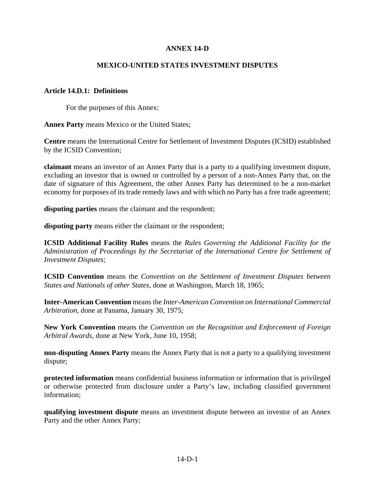## **ANNEX 14-D**

#### **MEXICO-UNITED STATES INVESTMENT DISPUTES**

#### **Article 14.D.1: Definitions**

For the purposes of this Annex:

**Annex Party** means Mexico or the United States;

**Centre** means the International Centre for Settlement of Investment Disputes (ICSID) established by the ICSID Convention;

**claimant** means an investor of an Annex Party that is a party to a qualifying investment dispute, excluding an investor that is owned or controlled by a person of a non-Annex Party that, on the date of signature of this Agreement, the other Annex Party has determined to be a non-market economy for purposes of its trade remedy laws and with which no Party has a free trade agreement;

**disputing parties** means the claimant and the respondent;

**disputing party** means either the claimant or the respondent;

**ICSID Additional Facility Rules** means the *Rules Governing the Additional Facility for the Administration of Proceedings by the Secretariat of the International Centre for Settlement of Investment Disputes*;

**ICSID Convention** means the *Convention on the Settlement of Investment Disputes between States and Nationals of other States*, done at Washington, March 18, 1965;

**Inter-American Convention** means the *Inter-American Convention on International Commercial Arbitration*, done at Panama, January 30, 1975;

**New York Convention** means the *Convention on the Recognition and Enforcement of Foreign Arbitral Awards*, done at New York, June 10, 1958;

**non-disputing Annex Party** means the Annex Party that is not a party to a qualifying investment dispute;

**protected information** means confidential business information or information that is privileged or otherwise protected from disclosure under a Party's law, including classified government information;

**qualifying investment dispute** means an investment dispute between an investor of an Annex Party and the other Annex Party;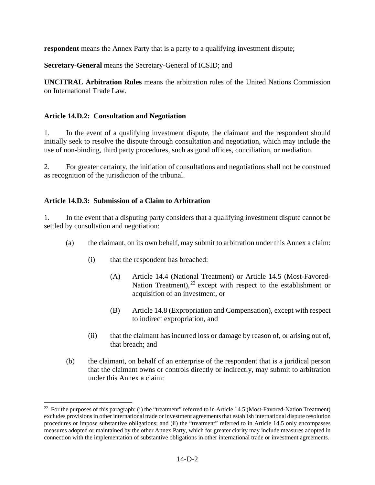**respondent** means the Annex Party that is a party to a qualifying investment dispute;

**Secretary-General** means the Secretary-General of ICSID; and

**UNCITRAL Arbitration Rules** means the arbitration rules of the United Nations Commission on International Trade Law.

# **Article 14.D.2: Consultation and Negotiation**

1. In the event of a qualifying investment dispute, the claimant and the respondent should initially seek to resolve the dispute through consultation and negotiation, which may include the use of non-binding, third party procedures, such as good offices, conciliation, or mediation.

2. For greater certainty, the initiation of consultations and negotiations shall not be construed as recognition of the jurisdiction of the tribunal.

# **Article 14.D.3: Submission of a Claim to Arbitration**

 $\overline{\phantom{a}}$ 

1. In the event that a disputing party considers that a qualifying investment dispute cannot be settled by consultation and negotiation:

- (a) the claimant, on its own behalf, may submit to arbitration under this Annex a claim:
	- (i) that the respondent has breached:
		- (A) Article 14.4 (National Treatment) or Article 14.5 (Most-Favored-Nation Treatment),  $22$  except with respect to the establishment or acquisition of an investment, or
		- (B) Article 14.8 (Expropriation and Compensation), except with respect to indirect expropriation, and
	- (ii) that the claimant has incurred loss or damage by reason of, or arising out of, that breach; and
- (b) the claimant, on behalf of an enterprise of the respondent that is a juridical person that the claimant owns or controls directly or indirectly, may submit to arbitration under this Annex a claim:

<span id="page-20-0"></span> $22$  For the purposes of this paragraph: (i) the "treatment" referred to in Article 14.5 (Most-Favored-Nation Treatment) excludes provisions in other international trade or investment agreements that establish international dispute resolution procedures or impose substantive obligations; and (ii) the "treatment" referred to in Article 14.5 only encompasses measures adopted or maintained by the other Annex Party, which for greater clarity may include measures adopted in connection with the implementation of substantive obligations in other international trade or investment agreements.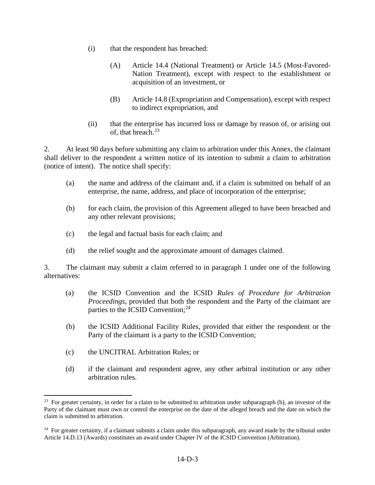- (i) that the respondent has breached:
	- (A) Article 14.4 (National Treatment) or Article 14.5 (Most-Favored-Nation Treatment), except with respect to the establishment or acquisition of an investment, or
	- (B) Article 14.8 (Expropriation and Compensation), except with respect to indirect expropriation, and
- (ii) that the enterprise has incurred loss or damage by reason of, or arising out of, that breach. [23](#page-21-0)

2. At least 90 days before submitting any claim to arbitration under this Annex, the claimant shall deliver to the respondent a written notice of its intention to submit a claim to arbitration (notice of intent). The notice shall specify:

- (a) the name and address of the claimant and, if a claim is submitted on behalf of an enterprise, the name, address, and place of incorporation of the enterprise;
- (b) for each claim, the provision of this Agreement alleged to have been breached and any other relevant provisions;
- (c) the legal and factual basis for each claim; and
- (d) the relief sought and the approximate amount of damages claimed.

3. The claimant may submit a claim referred to in paragraph 1 under one of the following alternatives:

- (a) the ICSID Convention and the ICSID *Rules of Procedure for Arbitration Proceedings*, provided that both the respondent and the Party of the claimant are parties to the ICSID Convention; $^{24}$  $^{24}$  $^{24}$
- (b) the ICSID Additional Facility Rules, provided that either the respondent or the Party of the claimant is a party to the ICSID Convention;
- (c) the UNCITRAL Arbitration Rules; or

 $\overline{a}$ 

(d) if the claimant and respondent agree, any other arbitral institution or any other arbitration rules.

<span id="page-21-0"></span><sup>&</sup>lt;sup>23</sup> For greater certainty, in order for a claim to be submitted to arbitration under subparagraph (b), an investor of the Party of the claimant must own or control the enterprise on the date of the alleged breach and the date on which the claim is submitted to arbitration.

<span id="page-21-1"></span><sup>&</sup>lt;sup>24</sup> For greater certainty, if a claimant submits a claim under this subparagraph, any award made by the tribunal under Article 14.D.13 (Awards) constitutes an award under Chapter IV of the ICSID Convention (Arbitration).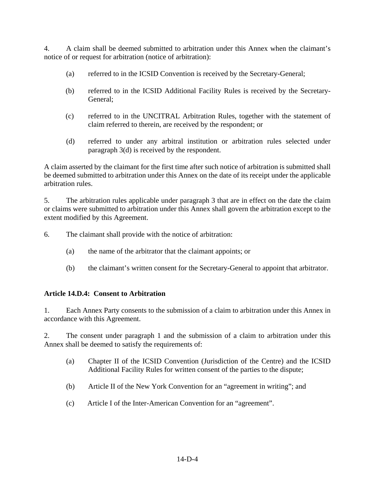4. A claim shall be deemed submitted to arbitration under this Annex when the claimant's notice of or request for arbitration (notice of arbitration):

- (a) referred to in the ICSID Convention is received by the Secretary-General;
- (b) referred to in the ICSID Additional Facility Rules is received by the Secretary-General;
- (c) referred to in the UNCITRAL Arbitration Rules, together with the statement of claim referred to therein, are received by the respondent; or
- (d) referred to under any arbitral institution or arbitration rules selected under paragraph 3(d) is received by the respondent.

A claim asserted by the claimant for the first time after such notice of arbitration is submitted shall be deemed submitted to arbitration under this Annex on the date of its receipt under the applicable arbitration rules.

5. The arbitration rules applicable under paragraph 3 that are in effect on the date the claim or claims were submitted to arbitration under this Annex shall govern the arbitration except to the extent modified by this Agreement.

6. The claimant shall provide with the notice of arbitration:

- (a) the name of the arbitrator that the claimant appoints; or
- (b) the claimant's written consent for the Secretary-General to appoint that arbitrator.

## **Article 14.D.4: Consent to Arbitration**

1. Each Annex Party consents to the submission of a claim to arbitration under this Annex in accordance with this Agreement.

2. The consent under paragraph 1 and the submission of a claim to arbitration under this Annex shall be deemed to satisfy the requirements of:

- (a) Chapter II of the ICSID Convention (Jurisdiction of the Centre) and the ICSID Additional Facility Rules for written consent of the parties to the dispute;
- (b) Article II of the New York Convention for an "agreement in writing"; and
- (c) Article I of the Inter-American Convention for an "agreement".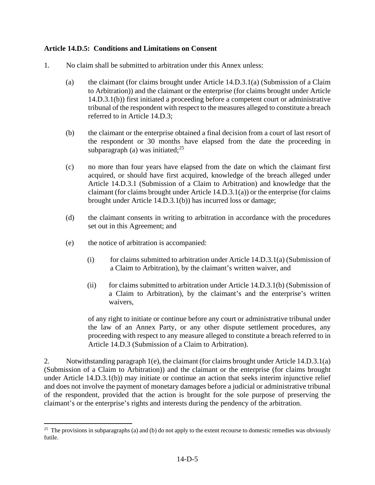## **Article 14.D.5: Conditions and Limitations on Consent**

- 1. No claim shall be submitted to arbitration under this Annex unless:
	- (a) the claimant (for claims brought under Article 14.D.3.1(a) (Submission of a Claim to Arbitration)) and the claimant or the enterprise (for claims brought under Article 14.D.3.1(b)) first initiated a proceeding before a competent court or administrative tribunal of the respondent with respect to the measures alleged to constitute a breach referred to in Article 14.D.3;
	- (b) the claimant or the enterprise obtained a final decision from a court of last resort of the respondent or 30 months have elapsed from the date the proceeding in subparagraph (a) was initiated;  $2^5$
	- (c) no more than four years have elapsed from the date on which the claimant first acquired, or should have first acquired, knowledge of the breach alleged under Article 14.D.3.1 (Submission of a Claim to Arbitration) and knowledge that the claimant (for claims brought under Article 14.D.3.1(a)) or the enterprise (for claims brought under Article 14.D.3.1(b)) has incurred loss or damage;
	- (d) the claimant consents in writing to arbitration in accordance with the procedures set out in this Agreement; and
	- (e) the notice of arbitration is accompanied:

 $\overline{\phantom{a}}$ 

- (i) for claims submitted to arbitration under Article 14.D.3.1(a) (Submission of a Claim to Arbitration), by the claimant's written waiver, and
- (ii) for claims submitted to arbitration under Article 14.D.3.1(b) (Submission of a Claim to Arbitration), by the claimant's and the enterprise's written waivers,

of any right to initiate or continue before any court or administrative tribunal under the law of an Annex Party, or any other dispute settlement procedures, any proceeding with respect to any measure alleged to constitute a breach referred to in Article 14.D.3 (Submission of a Claim to Arbitration).

2. Notwithstanding paragraph 1(e), the claimant (for claims brought under Article 14.D.3.1(a) (Submission of a Claim to Arbitration)) and the claimant or the enterprise (for claims brought under Article 14.D.3.1(b)) may initiate or continue an action that seeks interim injunctive relief and does not involve the payment of monetary damages before a judicial or administrative tribunal of the respondent, provided that the action is brought for the sole purpose of preserving the claimant's or the enterprise's rights and interests during the pendency of the arbitration.

<span id="page-23-0"></span> $25$  The provisions in subparagraphs (a) and (b) do not apply to the extent recourse to domestic remedies was obviously futile.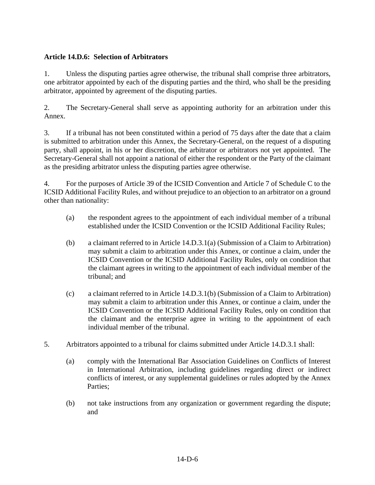# **Article 14.D.6: Selection of Arbitrators**

1. Unless the disputing parties agree otherwise, the tribunal shall comprise three arbitrators, one arbitrator appointed by each of the disputing parties and the third, who shall be the presiding arbitrator, appointed by agreement of the disputing parties.

2. The Secretary-General shall serve as appointing authority for an arbitration under this Annex.

3. If a tribunal has not been constituted within a period of 75 days after the date that a claim is submitted to arbitration under this Annex, the Secretary-General, on the request of a disputing party, shall appoint, in his or her discretion, the arbitrator or arbitrators not yet appointed. The Secretary-General shall not appoint a national of either the respondent or the Party of the claimant as the presiding arbitrator unless the disputing parties agree otherwise.

4. For the purposes of Article 39 of the ICSID Convention and Article 7 of Schedule C to the ICSID Additional Facility Rules, and without prejudice to an objection to an arbitrator on a ground other than nationality:

- (a) the respondent agrees to the appointment of each individual member of a tribunal established under the ICSID Convention or the ICSID Additional Facility Rules;
- (b) a claimant referred to in Article 14.D.3.1(a) (Submission of a Claim to Arbitration) may submit a claim to arbitration under this Annex, or continue a claim, under the ICSID Convention or the ICSID Additional Facility Rules, only on condition that the claimant agrees in writing to the appointment of each individual member of the tribunal; and
- (c) a claimant referred to in Article 14.D.3.1(b) (Submission of a Claim to Arbitration) may submit a claim to arbitration under this Annex, or continue a claim, under the ICSID Convention or the ICSID Additional Facility Rules, only on condition that the claimant and the enterprise agree in writing to the appointment of each individual member of the tribunal.
- 5. Arbitrators appointed to a tribunal for claims submitted under Article 14.D.3.1 shall:
	- (a) comply with the International Bar Association Guidelines on Conflicts of Interest in International Arbitration, including guidelines regarding direct or indirect conflicts of interest, or any supplemental guidelines or rules adopted by the Annex Parties;
	- (b) not take instructions from any organization or government regarding the dispute; and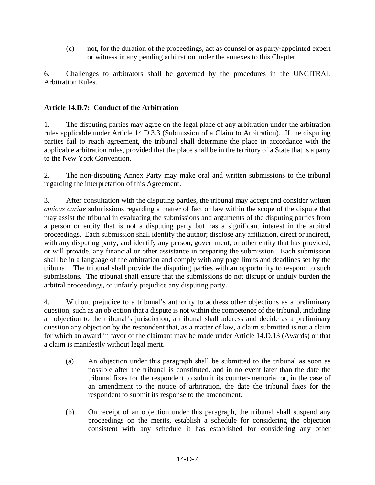(c) not, for the duration of the proceedings, act as counsel or as party-appointed expert or witness in any pending arbitration under the annexes to this Chapter.

6. Challenges to arbitrators shall be governed by the procedures in the UNCITRAL Arbitration Rules.

# **Article 14.D.7: Conduct of the Arbitration**

1. The disputing parties may agree on the legal place of any arbitration under the arbitration rules applicable under Article 14.D.3.3 (Submission of a Claim to Arbitration). If the disputing parties fail to reach agreement, the tribunal shall determine the place in accordance with the applicable arbitration rules, provided that the place shall be in the territory of a State that is a party to the New York Convention.

2. The non-disputing Annex Party may make oral and written submissions to the tribunal regarding the interpretation of this Agreement.

3. After consultation with the disputing parties, the tribunal may accept and consider written *amicus curiae* submissions regarding a matter of fact or law within the scope of the dispute that may assist the tribunal in evaluating the submissions and arguments of the disputing parties from a person or entity that is not a disputing party but has a significant interest in the arbitral proceedings. Each submission shall identify the author; disclose any affiliation, direct or indirect, with any disputing party; and identify any person, government, or other entity that has provided, or will provide, any financial or other assistance in preparing the submission. Each submission shall be in a language of the arbitration and comply with any page limits and deadlines set by the tribunal. The tribunal shall provide the disputing parties with an opportunity to respond to such submissions. The tribunal shall ensure that the submissions do not disrupt or unduly burden the arbitral proceedings, or unfairly prejudice any disputing party.

4. Without prejudice to a tribunal's authority to address other objections as a preliminary question, such as an objection that a dispute is not within the competence of the tribunal, including an objection to the tribunal's jurisdiction, a tribunal shall address and decide as a preliminary question any objection by the respondent that, as a matter of law, a claim submitted is not a claim for which an award in favor of the claimant may be made under Article 14.D.13 (Awards) or that a claim is manifestly without legal merit.

- (a) An objection under this paragraph shall be submitted to the tribunal as soon as possible after the tribunal is constituted, and in no event later than the date the tribunal fixes for the respondent to submit its counter-memorial or, in the case of an amendment to the notice of arbitration, the date the tribunal fixes for the respondent to submit its response to the amendment.
- (b) On receipt of an objection under this paragraph, the tribunal shall suspend any proceedings on the merits, establish a schedule for considering the objection consistent with any schedule it has established for considering any other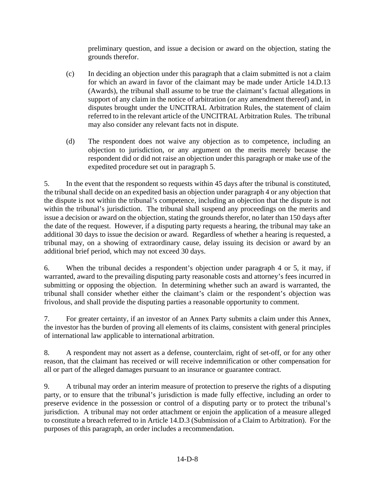preliminary question, and issue a decision or award on the objection, stating the grounds therefor.

- (c) In deciding an objection under this paragraph that a claim submitted is not a claim for which an award in favor of the claimant may be made under Article 14.D.13 (Awards), the tribunal shall assume to be true the claimant's factual allegations in support of any claim in the notice of arbitration (or any amendment thereof) and, in disputes brought under the UNCITRAL Arbitration Rules, the statement of claim referred to in the relevant article of the UNCITRAL Arbitration Rules. The tribunal may also consider any relevant facts not in dispute.
- (d) The respondent does not waive any objection as to competence, including an objection to jurisdiction, or any argument on the merits merely because the respondent did or did not raise an objection under this paragraph or make use of the expedited procedure set out in paragraph 5.

5. In the event that the respondent so requests within 45 days after the tribunal is constituted, the tribunal shall decide on an expedited basis an objection under paragraph 4 or any objection that the dispute is not within the tribunal's competence, including an objection that the dispute is not within the tribunal's jurisdiction. The tribunal shall suspend any proceedings on the merits and issue a decision or award on the objection, stating the grounds therefor, no later than 150 days after the date of the request. However, if a disputing party requests a hearing, the tribunal may take an additional 30 days to issue the decision or award. Regardless of whether a hearing is requested, a tribunal may, on a showing of extraordinary cause, delay issuing its decision or award by an additional brief period, which may not exceed 30 days.

6. When the tribunal decides a respondent's objection under paragraph 4 or 5, it may, if warranted, award to the prevailing disputing party reasonable costs and attorney's fees incurred in submitting or opposing the objection. In determining whether such an award is warranted, the tribunal shall consider whether either the claimant's claim or the respondent's objection was frivolous, and shall provide the disputing parties a reasonable opportunity to comment.

7. For greater certainty, if an investor of an Annex Party submits a claim under this Annex, the investor has the burden of proving all elements of its claims, consistent with general principles of international law applicable to international arbitration.

8. A respondent may not assert as a defense, counterclaim, right of set-off, or for any other reason, that the claimant has received or will receive indemnification or other compensation for all or part of the alleged damages pursuant to an insurance or guarantee contract.

9. A tribunal may order an interim measure of protection to preserve the rights of a disputing party, or to ensure that the tribunal's jurisdiction is made fully effective, including an order to preserve evidence in the possession or control of a disputing party or to protect the tribunal's jurisdiction. A tribunal may not order attachment or enjoin the application of a measure alleged to constitute a breach referred to in Article 14.D.3 (Submission of a Claim to Arbitration). For the purposes of this paragraph, an order includes a recommendation.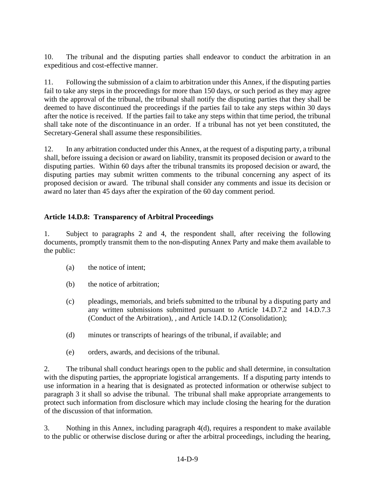10. The tribunal and the disputing parties shall endeavor to conduct the arbitration in an expeditious and cost-effective manner.

11. Following the submission of a claim to arbitration under this Annex, if the disputing parties fail to take any steps in the proceedings for more than 150 days, or such period as they may agree with the approval of the tribunal, the tribunal shall notify the disputing parties that they shall be deemed to have discontinued the proceedings if the parties fail to take any steps within 30 days after the notice is received. If the parties fail to take any steps within that time period, the tribunal shall take note of the discontinuance in an order. If a tribunal has not yet been constituted, the Secretary-General shall assume these responsibilities.

12. In any arbitration conducted under this Annex, at the request of a disputing party, a tribunal shall, before issuing a decision or award on liability, transmit its proposed decision or award to the disputing parties. Within 60 days after the tribunal transmits its proposed decision or award, the disputing parties may submit written comments to the tribunal concerning any aspect of its proposed decision or award. The tribunal shall consider any comments and issue its decision or award no later than 45 days after the expiration of the 60 day comment period.

# **Article 14.D.8: Transparency of Arbitral Proceedings**

1. Subject to paragraphs 2 and 4, the respondent shall, after receiving the following documents, promptly transmit them to the non-disputing Annex Party and make them available to the public:

- (a) the notice of intent;
- (b) the notice of arbitration;
- (c) pleadings, memorials, and briefs submitted to the tribunal by a disputing party and any written submissions submitted pursuant to Article 14.D.7.2 and 14.D.7.3 (Conduct of the Arbitration), , and Article 14.D.12 (Consolidation);
- (d) minutes or transcripts of hearings of the tribunal, if available; and
- (e) orders, awards, and decisions of the tribunal.

2. The tribunal shall conduct hearings open to the public and shall determine, in consultation with the disputing parties, the appropriate logistical arrangements. If a disputing party intends to use information in a hearing that is designated as protected information or otherwise subject to paragraph 3 it shall so advise the tribunal. The tribunal shall make appropriate arrangements to protect such information from disclosure which may include closing the hearing for the duration of the discussion of that information.

3. Nothing in this Annex, including paragraph 4(d), requires a respondent to make available to the public or otherwise disclose during or after the arbitral proceedings, including the hearing,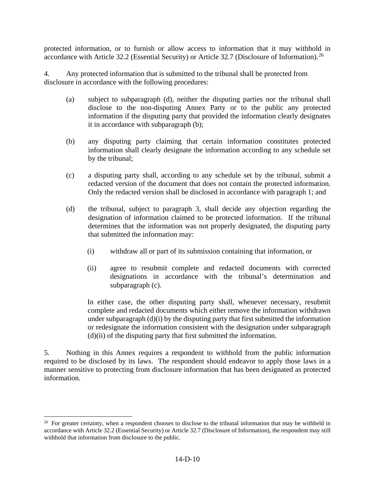protected information, or to furnish or allow access to information that it may withhold in accordance with Article 32.2 (Essential Security) or Article 32.7 (Disclosure of Information).<sup>[26](#page-28-0)</sup>

4. Any protected information that is submitted to the tribunal shall be protected from disclosure in accordance with the following procedures:

- (a) subject to subparagraph (d), neither the disputing parties nor the tribunal shall disclose to the non-disputing Annex Party or to the public any protected information if the disputing party that provided the information clearly designates it in accordance with subparagraph (b);
- (b) any disputing party claiming that certain information constitutes protected information shall clearly designate the information according to any schedule set by the tribunal;
- (c) a disputing party shall, according to any schedule set by the tribunal, submit a redacted version of the document that does not contain the protected information. Only the redacted version shall be disclosed in accordance with paragraph 1; and
- (d) the tribunal, subject to paragraph 3, shall decide any objection regarding the designation of information claimed to be protected information. If the tribunal determines that the information was not properly designated, the disputing party that submitted the information may:
	- (i) withdraw all or part of its submission containing that information, or
	- (ii) agree to resubmit complete and redacted documents with corrected designations in accordance with the tribunal's determination and subparagraph (c).

In either case, the other disputing party shall, whenever necessary, resubmit complete and redacted documents which either remove the information withdrawn under subparagraph  $(d)(i)$  by the disputing party that first submitted the information or redesignate the information consistent with the designation under subparagraph (d)(ii) of the disputing party that first submitted the information.

5. Nothing in this Annex requires a respondent to withhold from the public information required to be disclosed by its laws. The respondent should endeavor to apply those laws in a manner sensitive to protecting from disclosure information that has been designated as protected information.

 $\overline{a}$ 

<span id="page-28-0"></span> $26$  For greater certainty, when a respondent chooses to disclose to the tribunal information that may be withheld in accordance with Article 32.2 (Essential Security) or Article 32.7 (Disclosure of Information), the respondent may still withhold that information from disclosure to the public.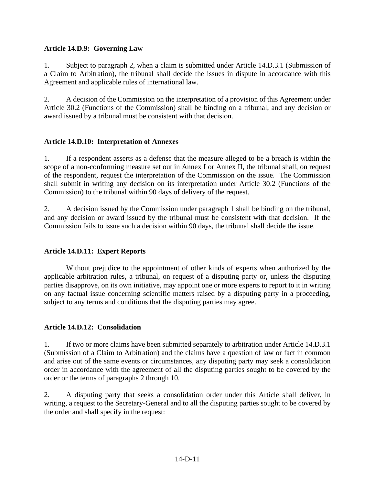## **Article 14.D.9: Governing Law**

1. Subject to paragraph 2, when a claim is submitted under Article 14.D.3.1 (Submission of a Claim to Arbitration), the tribunal shall decide the issues in dispute in accordance with this Agreement and applicable rules of international law.

2. A decision of the Commission on the interpretation of a provision of this Agreement under Article 30.2 (Functions of the Commission) shall be binding on a tribunal, and any decision or award issued by a tribunal must be consistent with that decision.

## **Article 14.D.10: Interpretation of Annexes**

1. If a respondent asserts as a defense that the measure alleged to be a breach is within the scope of a non-conforming measure set out in Annex I or Annex II, the tribunal shall, on request of the respondent, request the interpretation of the Commission on the issue. The Commission shall submit in writing any decision on its interpretation under Article 30.2 (Functions of the Commission) to the tribunal within 90 days of delivery of the request.

2. A decision issued by the Commission under paragraph 1 shall be binding on the tribunal, and any decision or award issued by the tribunal must be consistent with that decision. If the Commission fails to issue such a decision within 90 days, the tribunal shall decide the issue.

#### **Article 14.D.11: Expert Reports**

Without prejudice to the appointment of other kinds of experts when authorized by the applicable arbitration rules, a tribunal, on request of a disputing party or, unless the disputing parties disapprove, on its own initiative, may appoint one or more experts to report to it in writing on any factual issue concerning scientific matters raised by a disputing party in a proceeding, subject to any terms and conditions that the disputing parties may agree.

#### **Article 14.D.12: Consolidation**

1. If two or more claims have been submitted separately to arbitration under Article 14.D.3.1 (Submission of a Claim to Arbitration) and the claims have a question of law or fact in common and arise out of the same events or circumstances, any disputing party may seek a consolidation order in accordance with the agreement of all the disputing parties sought to be covered by the order or the terms of paragraphs 2 through 10.

2. A disputing party that seeks a consolidation order under this Article shall deliver, in writing, a request to the Secretary-General and to all the disputing parties sought to be covered by the order and shall specify in the request: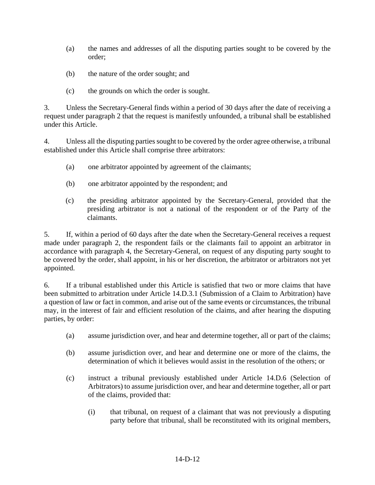- (a) the names and addresses of all the disputing parties sought to be covered by the order;
- (b) the nature of the order sought; and
- (c) the grounds on which the order is sought.

3. Unless the Secretary-General finds within a period of 30 days after the date of receiving a request under paragraph 2 that the request is manifestly unfounded, a tribunal shall be established under this Article.

4. Unless all the disputing parties sought to be covered by the order agree otherwise, a tribunal established under this Article shall comprise three arbitrators:

- (a) one arbitrator appointed by agreement of the claimants;
- (b) one arbitrator appointed by the respondent; and
- (c) the presiding arbitrator appointed by the Secretary-General, provided that the presiding arbitrator is not a national of the respondent or of the Party of the claimants.

5. If, within a period of 60 days after the date when the Secretary-General receives a request made under paragraph 2, the respondent fails or the claimants fail to appoint an arbitrator in accordance with paragraph 4, the Secretary-General, on request of any disputing party sought to be covered by the order, shall appoint, in his or her discretion, the arbitrator or arbitrators not yet appointed.

6. If a tribunal established under this Article is satisfied that two or more claims that have been submitted to arbitration under Article 14.D.3.1 (Submission of a Claim to Arbitration) have a question of law or fact in common, and arise out of the same events or circumstances, the tribunal may, in the interest of fair and efficient resolution of the claims, and after hearing the disputing parties, by order:

- (a) assume jurisdiction over, and hear and determine together, all or part of the claims;
- (b) assume jurisdiction over, and hear and determine one or more of the claims, the determination of which it believes would assist in the resolution of the others; or
- (c) instruct a tribunal previously established under Article 14.D.6 (Selection of Arbitrators) to assume jurisdiction over, and hear and determine together, all or part of the claims, provided that:
	- (i) that tribunal, on request of a claimant that was not previously a disputing party before that tribunal, shall be reconstituted with its original members,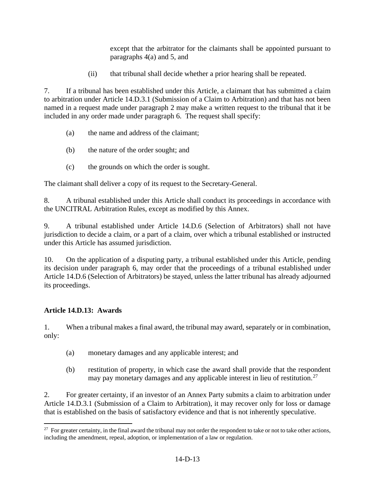except that the arbitrator for the claimants shall be appointed pursuant to paragraphs  $4(a)$  and 5, and

(ii) that tribunal shall decide whether a prior hearing shall be repeated.

7. If a tribunal has been established under this Article, a claimant that has submitted a claim to arbitration under Article 14.D.3.1 (Submission of a Claim to Arbitration) and that has not been named in a request made under paragraph 2 may make a written request to the tribunal that it be included in any order made under paragraph 6. The request shall specify:

- (a) the name and address of the claimant;
- (b) the nature of the order sought; and
- (c) the grounds on which the order is sought.

The claimant shall deliver a copy of its request to the Secretary-General.

8. A tribunal established under this Article shall conduct its proceedings in accordance with the UNCITRAL Arbitration Rules, except as modified by this Annex.

9. A tribunal established under Article 14.D.6 (Selection of Arbitrators) shall not have jurisdiction to decide a claim, or a part of a claim, over which a tribunal established or instructed under this Article has assumed jurisdiction.

10. On the application of a disputing party, a tribunal established under this Article, pending its decision under paragraph 6, may order that the proceedings of a tribunal established under Article 14.D.6 (Selection of Arbitrators) be stayed, unless the latter tribunal has already adjourned its proceedings.

## **Article 14.D.13: Awards**

 $\overline{\phantom{a}}$ 

1. When a tribunal makes a final award, the tribunal may award, separately or in combination, only:

- (a) monetary damages and any applicable interest; and
- (b) restitution of property, in which case the award shall provide that the respondent may pay monetary damages and any applicable interest in lieu of restitution.<sup>[27](#page-31-0)</sup>

2. For greater certainty, if an investor of an Annex Party submits a claim to arbitration under Article 14.D.3.1 (Submission of a Claim to Arbitration), it may recover only for loss or damage that is established on the basis of satisfactory evidence and that is not inherently speculative.

<span id="page-31-0"></span><sup>&</sup>lt;sup>27</sup> For greater certainty, in the final award the tribunal may not order the respondent to take or not to take other actions, including the amendment, repeal, adoption, or implementation of a law or regulation.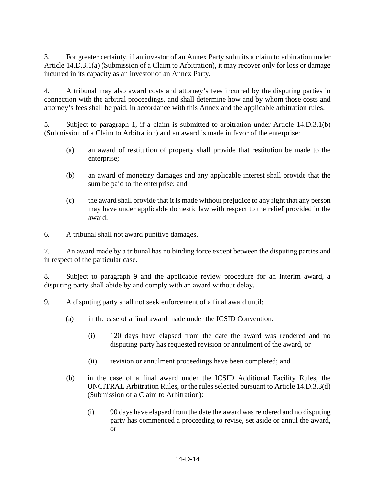3. For greater certainty, if an investor of an Annex Party submits a claim to arbitration under Article 14.D.3.1(a) (Submission of a Claim to Arbitration), it may recover only for loss or damage incurred in its capacity as an investor of an Annex Party.

4. A tribunal may also award costs and attorney's fees incurred by the disputing parties in connection with the arbitral proceedings, and shall determine how and by whom those costs and attorney's fees shall be paid, in accordance with this Annex and the applicable arbitration rules.

5. Subject to paragraph 1, if a claim is submitted to arbitration under Article 14.D.3.1(b) (Submission of a Claim to Arbitration) and an award is made in favor of the enterprise:

- (a) an award of restitution of property shall provide that restitution be made to the enterprise;
- (b) an award of monetary damages and any applicable interest shall provide that the sum be paid to the enterprise; and
- (c) the award shall provide that it is made without prejudice to any right that any person may have under applicable domestic law with respect to the relief provided in the award.

6. A tribunal shall not award punitive damages.

7. An award made by a tribunal has no binding force except between the disputing parties and in respect of the particular case.

8. Subject to paragraph 9 and the applicable review procedure for an interim award, a disputing party shall abide by and comply with an award without delay.

- 9. A disputing party shall not seek enforcement of a final award until:
	- (a) in the case of a final award made under the ICSID Convention:
		- (i) 120 days have elapsed from the date the award was rendered and no disputing party has requested revision or annulment of the award, or
		- (ii) revision or annulment proceedings have been completed; and
	- (b) in the case of a final award under the ICSID Additional Facility Rules, the UNCITRAL Arbitration Rules, or the rules selected pursuant to Article 14.D.3.3(d) (Submission of a Claim to Arbitration):
		- (i) 90 days have elapsed from the date the award was rendered and no disputing party has commenced a proceeding to revise, set aside or annul the award, or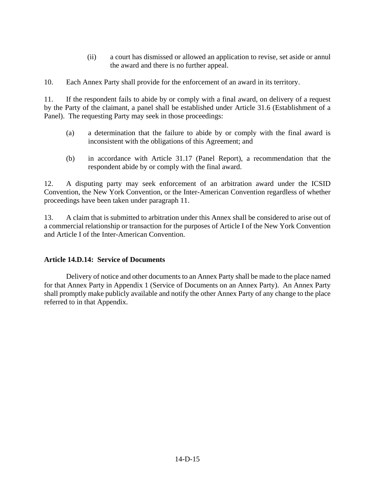(ii) a court has dismissed or allowed an application to revise, set aside or annul the award and there is no further appeal.

10. Each Annex Party shall provide for the enforcement of an award in its territory.

11. If the respondent fails to abide by or comply with a final award, on delivery of a request by the Party of the claimant, a panel shall be established under Article 31.6 (Establishment of a Panel). The requesting Party may seek in those proceedings:

- (a) a determination that the failure to abide by or comply with the final award is inconsistent with the obligations of this Agreement; and
- (b) in accordance with Article 31.17 (Panel Report), a recommendation that the respondent abide by or comply with the final award.

12. A disputing party may seek enforcement of an arbitration award under the ICSID Convention, the New York Convention, or the Inter-American Convention regardless of whether proceedings have been taken under paragraph 11.

13. A claim that is submitted to arbitration under this Annex shall be considered to arise out of a commercial relationship or transaction for the purposes of Article I of the New York Convention and Article I of the Inter-American Convention.

## **Article 14.D.14: Service of Documents**

Delivery of notice and other documents to an Annex Party shall be made to the place named for that Annex Party in Appendix 1 (Service of Documents on an Annex Party). An Annex Party shall promptly make publicly available and notify the other Annex Party of any change to the place referred to in that Appendix.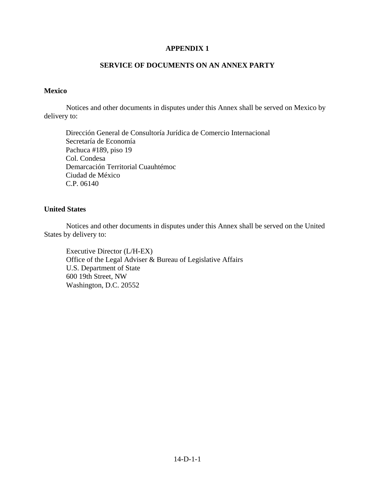### **APPENDIX 1**

#### **SERVICE OF DOCUMENTS ON AN ANNEX PARTY**

#### **Mexico**

Notices and other documents in disputes under this Annex shall be served on Mexico by delivery to:

Dirección General de Consultoría Jurídica de Comercio Internacional Secretaría de Economía Pachuca #189, piso 19 Col. Condesa Demarcación Territorial Cuauhtémoc Ciudad de México C.P. 06140

#### **United States**

Notices and other documents in disputes under this Annex shall be served on the United States by delivery to:

Executive Director (L/H-EX) Office of the Legal Adviser & Bureau of Legislative Affairs U.S. Department of State 600 19th Street, NW Washington, D.C. 20552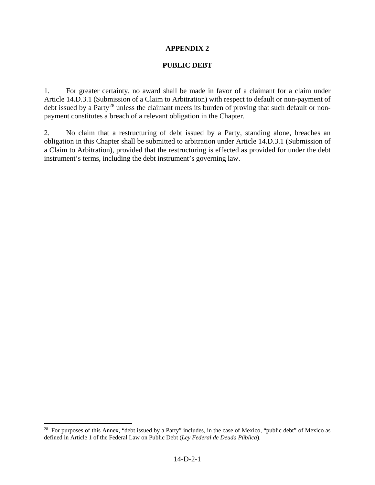## **APPENDIX 2**

#### **PUBLIC DEBT**

1. For greater certainty, no award shall be made in favor of a claimant for a claim under Article 14.D.3.1 (Submission of a Claim to Arbitration) with respect to default or non-payment of debt issued by a Party<sup>[28](#page-35-0)</sup> unless the claimant meets its burden of proving that such default or nonpayment constitutes a breach of a relevant obligation in the Chapter.

2. No claim that a restructuring of debt issued by a Party, standing alone, breaches an obligation in this Chapter shall be submitted to arbitration under Article 14.D.3.1 (Submission of a Claim to Arbitration), provided that the restructuring is effected as provided for under the debt instrument's terms, including the debt instrument's governing law.

 $\overline{\phantom{a}}$ 

<span id="page-35-0"></span><sup>&</sup>lt;sup>28</sup> For purposes of this Annex, "debt issued by a Party" includes, in the case of Mexico, "public debt" of Mexico as defined in Article 1 of the Federal Law on Public Debt (*Ley Federal de Deuda Pública*).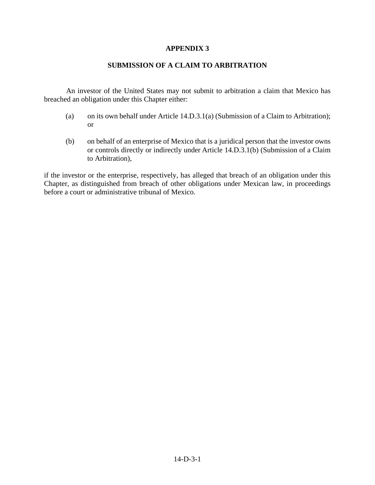## **APPENDIX 3**

#### **SUBMISSION OF A CLAIM TO ARBITRATION**

An investor of the United States may not submit to arbitration a claim that Mexico has breached an obligation under this Chapter either:

- (a) on its own behalf under Article 14.D.3.1(a) (Submission of a Claim to Arbitration); or
- (b) on behalf of an enterprise of Mexico that is a juridical person that the investor owns or controls directly or indirectly under Article 14.D.3.1(b) (Submission of a Claim to Arbitration),

if the investor or the enterprise, respectively, has alleged that breach of an obligation under this Chapter, as distinguished from breach of other obligations under Mexican law, in proceedings before a court or administrative tribunal of Mexico.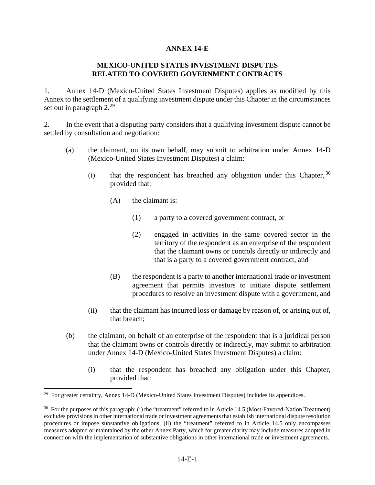## **ANNEX 14-E**

#### **MEXICO-UNITED STATES INVESTMENT DISPUTES RELATED TO COVERED GOVERNMENT CONTRACTS**

1. Annex 14-D (Mexico-United States Investment Disputes) applies as modified by this Annex to the settlement of a qualifying investment dispute under this Chapter in the circumstances set out in paragraph  $2.^{29}$  $2.^{29}$  $2.^{29}$ 

2. In the event that a disputing party considers that a qualifying investment dispute cannot be settled by consultation and negotiation:

- (a) the claimant, on its own behalf, may submit to arbitration under Annex 14-D (Mexico-United States Investment Disputes) a claim:
	- (i) that the respondent has breached any obligation under this Chapter,  $30$ provided that:
		- (A) the claimant is:
			- (1) a party to a covered government contract, or
			- (2) engaged in activities in the same covered sector in the territory of the respondent as an enterprise of the respondent that the claimant owns or controls directly or indirectly and that is a party to a covered government contract, and
		- (B) the respondent is a party to another international trade or investment agreement that permits investors to initiate dispute settlement procedures to resolve an investment dispute with a government, and
	- (ii) that the claimant has incurred loss or damage by reason of, or arising out of, that breach;
- (b) the claimant, on behalf of an enterprise of the respondent that is a juridical person that the claimant owns or controls directly or indirectly, may submit to arbitration under Annex 14-D (Mexico-United States Investment Disputes) a claim:
	- (i) that the respondent has breached any obligation under this Chapter, provided that:

l

<span id="page-37-0"></span><sup>&</sup>lt;sup>29</sup> For greater certainty, Annex 14-D (Mexico-United States Investment Disputes) includes its appendices.

<span id="page-37-1"></span><sup>&</sup>lt;sup>30</sup> For the purposes of this paragraph: (i) the "treatment" referred to in Article 14.5 (Most-Favored-Nation Treatment) excludes provisions in other international trade or investment agreements that establish international dispute resolution procedures or impose substantive obligations; (ii) the "treatment" referred to in Article 14.5 only encompasses measures adopted or maintained by the other Annex Party, which for greater clarity may include measures adopted in connection with the implementation of substantive obligations in other international trade or investment agreements.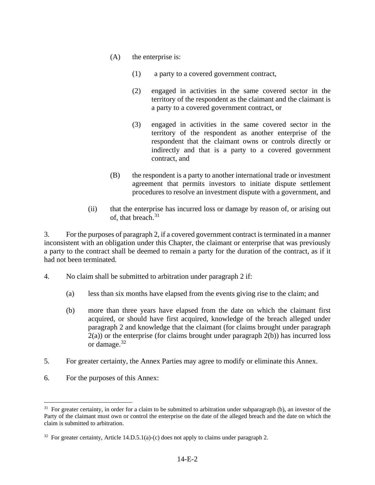- (A) the enterprise is:
	- (1) a party to a covered government contract,
	- (2) engaged in activities in the same covered sector in the territory of the respondent as the claimant and the claimant is a party to a covered government contract, or
	- (3) engaged in activities in the same covered sector in the territory of the respondent as another enterprise of the respondent that the claimant owns or controls directly or indirectly and that is a party to a covered government contract, and
- (B) the respondent is a party to another international trade or investment agreement that permits investors to initiate dispute settlement procedures to resolve an investment dispute with a government, and
- (ii) that the enterprise has incurred loss or damage by reason of, or arising out of, that breach. $31$

3. For the purposes of paragraph 2, if a covered government contract is terminated in a manner inconsistent with an obligation under this Chapter, the claimant or enterprise that was previously a party to the contract shall be deemed to remain a party for the duration of the contract, as if it had not been terminated.

- 4. No claim shall be submitted to arbitration under paragraph 2 if:
	- (a) less than six months have elapsed from the events giving rise to the claim; and
	- (b) more than three years have elapsed from the date on which the claimant first acquired, or should have first acquired, knowledge of the breach alleged under paragraph 2 and knowledge that the claimant (for claims brought under paragraph  $2(a)$ ) or the enterprise (for claims brought under paragraph  $2(b)$ ) has incurred loss or damage.[32](#page-38-1)
- 5. For greater certainty, the Annex Parties may agree to modify or eliminate this Annex.
- 6. For the purposes of this Annex:

 $\overline{\phantom{a}}$ 

<span id="page-38-0"></span><sup>&</sup>lt;sup>31</sup> For greater certainty, in order for a claim to be submitted to arbitration under subparagraph (b), an investor of the Party of the claimant must own or control the enterprise on the date of the alleged breach and the date on which the claim is submitted to arbitration.

<span id="page-38-1"></span> $32$  For greater certainty, Article 14.D.5.1(a)-(c) does not apply to claims under paragraph 2.